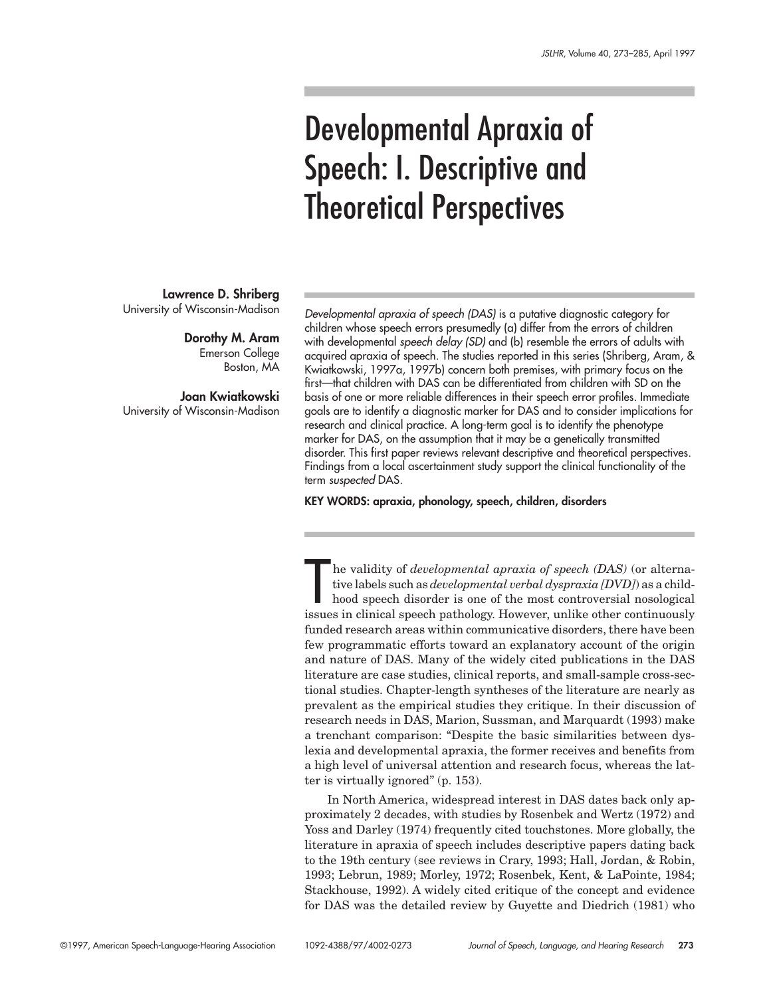# Developmental Apraxia of Speech: I. Descriptive and Theoretical Perspectives

**Lawrence D. Shriberg** University of Wisconsin-Madison

> **Dorothy M. Aram** Emerson College Boston, MA

**Joan Kwiatkowski** University of Wisconsin-Madison

Developmental apraxia of speech (DAS) is a putative diagnostic category for children whose speech errors presumedly (a) differ from the errors of children with developmental speech delay (SD) and (b) resemble the errors of adults with acquired apraxia of speech. The studies reported in this series (Shriberg, Aram, & Kwiatkowski, 1997a, 1997b) concern both premises, with primary focus on the first—that children with DAS can be differentiated from children with SD on the basis of one or more reliable differences in their speech error profiles. Immediate goals are to identify a diagnostic marker for DAS and to consider implications for research and clinical practice. A long-term goal is to identify the phenotype marker for DAS, on the assumption that it may be a genetically transmitted disorder. This first paper reviews relevant descriptive and theoretical perspectives. Findings from a local ascertainment study support the clinical functionality of the term suspected DAS.

**KEY WORDS: apraxia, phonology, speech, children, disorders**

The validity of *developmental apraxia of speech (DAS)* (or alternative labels such as *developmental verbal dyspraxia [DVD]*) as a childhood speech disorder is one of the most controversial nosological issues in clinical he validity of *developmental apraxia of speech (DAS)* (or alternative labels such as *developmental verbal dyspraxia [DVD]*) as a childhood speech disorder is one of the most controversial nosological funded research areas within communicative disorders, there have been few programmatic efforts toward an explanatory account of the origin and nature of DAS. Many of the widely cited publications in the DAS literature are case studies, clinical reports, and small-sample cross-sectional studies. Chapter-length syntheses of the literature are nearly as prevalent as the empirical studies they critique. In their discussion of research needs in DAS, Marion, Sussman, and Marquardt (1993) make a trenchant comparison: "Despite the basic similarities between dyslexia and developmental apraxia, the former receives and benefits from a high level of universal attention and research focus, whereas the latter is virtually ignored" (p. 153).

In North America, widespread interest in DAS dates back only approximately 2 decades, with studies by Rosenbek and Wertz (1972) and Yoss and Darley (1974) frequently cited touchstones. More globally, the literature in apraxia of speech includes descriptive papers dating back to the 19th century (see reviews in Crary, 1993; Hall, Jordan, & Robin, 1993; Lebrun, 1989; Morley, 1972; Rosenbek, Kent, & LaPointe, 1984; Stackhouse, 1992). A widely cited critique of the concept and evidence for DAS was the detailed review by Guyette and Diedrich (1981) who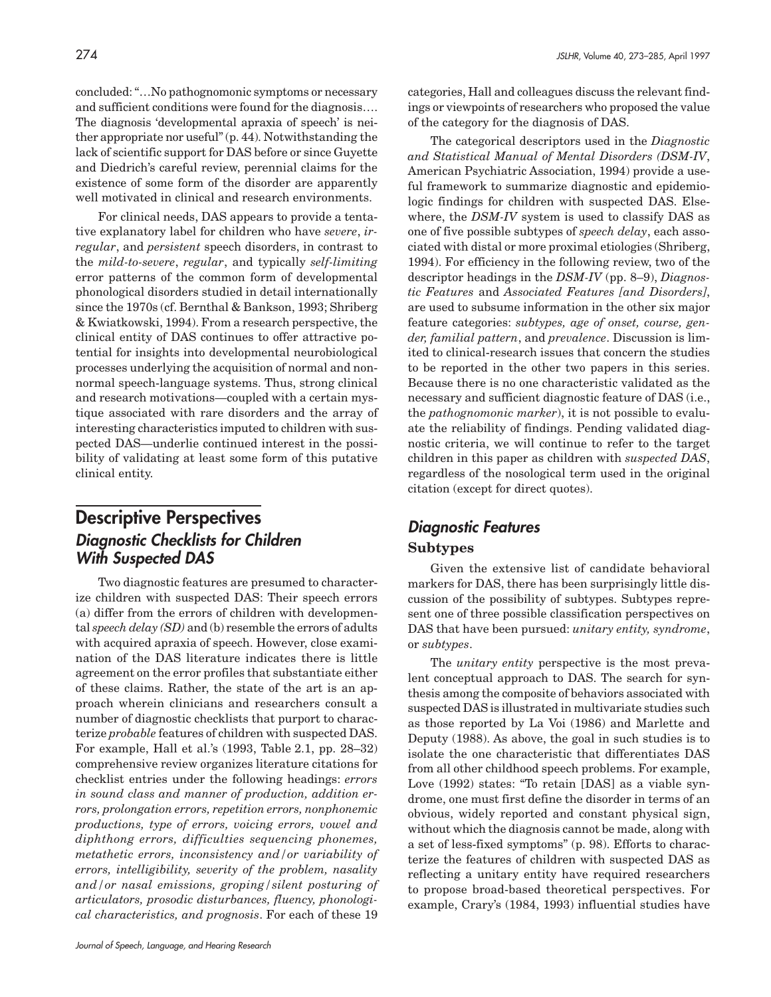concluded: "…No pathognomonic symptoms or necessary and sufficient conditions were found for the diagnosis…. The diagnosis 'developmental apraxia of speech' is neither appropriate nor useful" (p. 44). Notwithstanding the lack of scientific support for DAS before or since Guyette and Diedrich's careful review, perennial claims for the existence of some form of the disorder are apparently well motivated in clinical and research environments.

For clinical needs, DAS appears to provide a tentative explanatory label for children who have *severe*, *irregular*, and *persistent* speech disorders, in contrast to the *mild-to-severe*, *regular*, and typically *self-limiting* error patterns of the common form of developmental phonological disorders studied in detail internationally since the 1970s (cf. Bernthal & Bankson, 1993; Shriberg & Kwiatkowski, 1994). From a research perspective, the clinical entity of DAS continues to offer attractive potential for insights into developmental neurobiological processes underlying the acquisition of normal and nonnormal speech-language systems. Thus, strong clinical and research motivations—coupled with a certain mystique associated with rare disorders and the array of interesting characteristics imputed to children with suspected DAS—underlie continued interest in the possibility of validating at least some form of this putative clinical entity.

# **Descriptive Perspectives Diagnostic Checklists for Children With Suspected DAS**

Two diagnostic features are presumed to characterize children with suspected DAS: Their speech errors (a) differ from the errors of children with developmental *speech delay (SD)* and (b) resemble the errors of adults with acquired apraxia of speech. However, close examination of the DAS literature indicates there is little agreement on the error profiles that substantiate either of these claims. Rather, the state of the art is an approach wherein clinicians and researchers consult a number of diagnostic checklists that purport to characterize *probable* features of children with suspected DAS. For example, Hall et al.'s (1993, Table 2.1, pp. 28–32) comprehensive review organizes literature citations for checklist entries under the following headings: *errors in sound class and manner of production, addition errors, prolongation errors, repetition errors, nonphonemic productions, type of errors, voicing errors, vowel and diphthong errors, difficulties sequencing phonemes, metathetic errors, inconsistency and/or variability of errors, intelligibility, severity of the problem, nasality and/or nasal emissions, groping/silent posturing of articulators, prosodic disturbances, fluency, phonological characteristics, and prognosis*. For each of these 19

categories, Hall and colleagues discuss the relevant findings or viewpoints of researchers who proposed the value of the category for the diagnosis of DAS.

The categorical descriptors used in the *Diagnostic and Statistical Manual of Mental Disorders (DSM-IV*, American Psychiatric Association, 1994) provide a useful framework to summarize diagnostic and epidemiologic findings for children with suspected DAS. Elsewhere, the *DSM-IV* system is used to classify DAS as one of five possible subtypes of *speech delay*, each associated with distal or more proximal etiologies (Shriberg, 1994). For efficiency in the following review, two of the descriptor headings in the *DSM-IV* (pp. 8–9), *Diagnostic Features* and *Associated Features [and Disorders]*, are used to subsume information in the other six major feature categories: *subtypes, age of onset, course, gender, familial pattern*, and *prevalence*. Discussion is limited to clinical-research issues that concern the studies to be reported in the other two papers in this series. Because there is no one characteristic validated as the necessary and sufficient diagnostic feature of DAS (i.e., the *pathognomonic marker*), it is not possible to evaluate the reliability of findings. Pending validated diagnostic criteria, we will continue to refer to the target children in this paper as children with *suspected DAS*, regardless of the nosological term used in the original citation (except for direct quotes).

# **Diagnostic Features Subtypes**

Given the extensive list of candidate behavioral markers for DAS, there has been surprisingly little discussion of the possibility of subtypes. Subtypes represent one of three possible classification perspectives on DAS that have been pursued: *unitary entity, syndrome*, or *subtypes*.

The *unitary entity* perspective is the most prevalent conceptual approach to DAS. The search for synthesis among the composite of behaviors associated with suspected DAS is illustrated in multivariate studies such as those reported by La Voi (1986) and Marlette and Deputy (1988). As above, the goal in such studies is to isolate the one characteristic that differentiates DAS from all other childhood speech problems. For example, Love (1992) states: "To retain [DAS] as a viable syndrome, one must first define the disorder in terms of an obvious, widely reported and constant physical sign, without which the diagnosis cannot be made, along with a set of less-fixed symptoms" (p. 98). Efforts to characterize the features of children with suspected DAS as reflecting a unitary entity have required researchers to propose broad-based theoretical perspectives. For example, Crary's (1984, 1993) influential studies have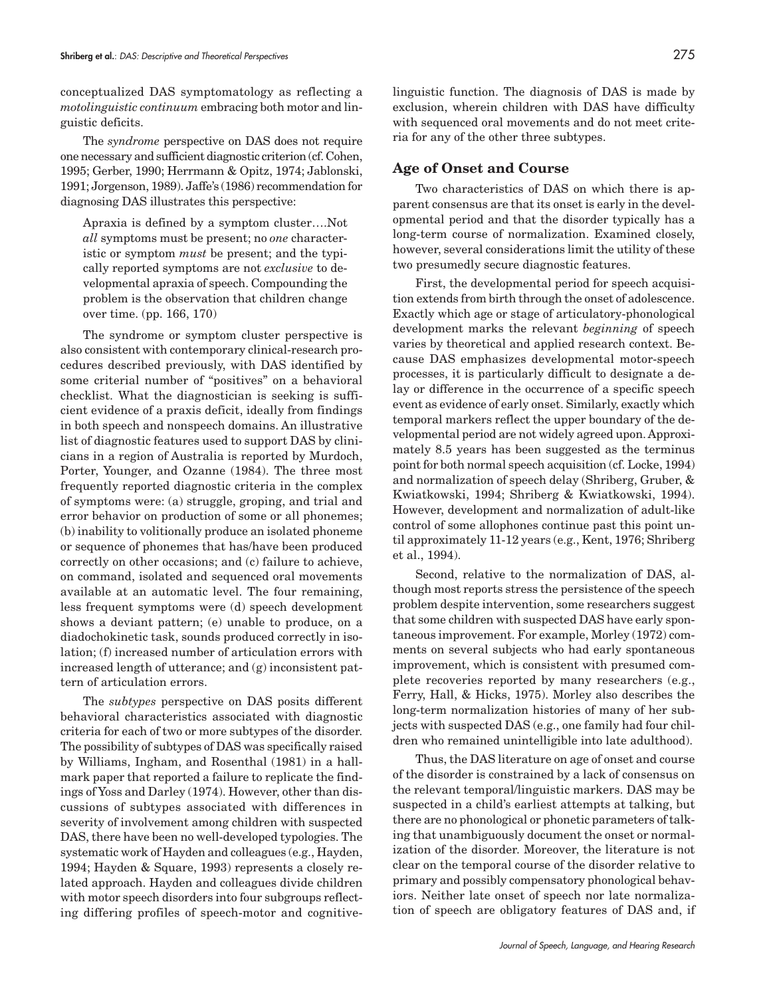conceptualized DAS symptomatology as reflecting a *motolinguistic continuum* embracing both motor and linguistic deficits.

The *syndrome* perspective on DAS does not require one necessary and sufficient diagnostic criterion (cf. Cohen, 1995; Gerber, 1990; Herrmann & Opitz, 1974; Jablonski, 1991; Jorgenson, 1989). Jaffe's (1986) recommendation for diagnosing DAS illustrates this perspective:

Apraxia is defined by a symptom cluster….Not *all* symptoms must be present; no *one* characteristic or symptom *must* be present; and the typically reported symptoms are not *exclusive* to developmental apraxia of speech. Compounding the problem is the observation that children change over time. (pp. 166, 170)

The syndrome or symptom cluster perspective is also consistent with contemporary clinical-research procedures described previously, with DAS identified by some criterial number of "positives" on a behavioral checklist. What the diagnostician is seeking is sufficient evidence of a praxis deficit, ideally from findings in both speech and nonspeech domains. An illustrative list of diagnostic features used to support DAS by clinicians in a region of Australia is reported by Murdoch, Porter, Younger, and Ozanne (1984). The three most frequently reported diagnostic criteria in the complex of symptoms were: (a) struggle, groping, and trial and error behavior on production of some or all phonemes; (b) inability to volitionally produce an isolated phoneme or sequence of phonemes that has/have been produced correctly on other occasions; and (c) failure to achieve, on command, isolated and sequenced oral movements available at an automatic level. The four remaining, less frequent symptoms were (d) speech development shows a deviant pattern; (e) unable to produce, on a diadochokinetic task, sounds produced correctly in isolation; (f) increased number of articulation errors with increased length of utterance; and (g) inconsistent pattern of articulation errors.

The *subtypes* perspective on DAS posits different behavioral characteristics associated with diagnostic criteria for each of two or more subtypes of the disorder. The possibility of subtypes of DAS was specifically raised by Williams, Ingham, and Rosenthal (1981) in a hallmark paper that reported a failure to replicate the findings of Yoss and Darley (1974). However, other than discussions of subtypes associated with differences in severity of involvement among children with suspected DAS, there have been no well-developed typologies. The systematic work of Hayden and colleagues (e.g., Hayden, 1994; Hayden & Square, 1993) represents a closely related approach. Hayden and colleagues divide children with motor speech disorders into four subgroups reflecting differing profiles of speech-motor and cognitivelinguistic function. The diagnosis of DAS is made by exclusion, wherein children with DAS have difficulty with sequenced oral movements and do not meet criteria for any of the other three subtypes.

#### **Age of Onset and Course**

Two characteristics of DAS on which there is apparent consensus are that its onset is early in the developmental period and that the disorder typically has a long-term course of normalization. Examined closely, however, several considerations limit the utility of these two presumedly secure diagnostic features.

First, the developmental period for speech acquisition extends from birth through the onset of adolescence. Exactly which age or stage of articulatory-phonological development marks the relevant *beginning* of speech varies by theoretical and applied research context. Because DAS emphasizes developmental motor-speech processes, it is particularly difficult to designate a delay or difference in the occurrence of a specific speech event as evidence of early onset. Similarly, exactly which temporal markers reflect the upper boundary of the developmental period are not widely agreed upon. Approximately 8.5 years has been suggested as the terminus point for both normal speech acquisition (cf. Locke, 1994) and normalization of speech delay (Shriberg, Gruber, & Kwiatkowski, 1994; Shriberg & Kwiatkowski, 1994). However, development and normalization of adult-like control of some allophones continue past this point until approximately 11-12 years (e.g., Kent, 1976; Shriberg et al., 1994).

Second, relative to the normalization of DAS, although most reports stress the persistence of the speech problem despite intervention, some researchers suggest that some children with suspected DAS have early spontaneous improvement. For example, Morley (1972) comments on several subjects who had early spontaneous improvement, which is consistent with presumed complete recoveries reported by many researchers (e.g., Ferry, Hall, & Hicks, 1975). Morley also describes the long-term normalization histories of many of her subjects with suspected DAS (e.g., one family had four children who remained unintelligible into late adulthood).

Thus, the DAS literature on age of onset and course of the disorder is constrained by a lack of consensus on the relevant temporal/linguistic markers. DAS may be suspected in a child's earliest attempts at talking, but there are no phonological or phonetic parameters of talking that unambiguously document the onset or normalization of the disorder. Moreover, the literature is not clear on the temporal course of the disorder relative to primary and possibly compensatory phonological behaviors. Neither late onset of speech nor late normalization of speech are obligatory features of DAS and, if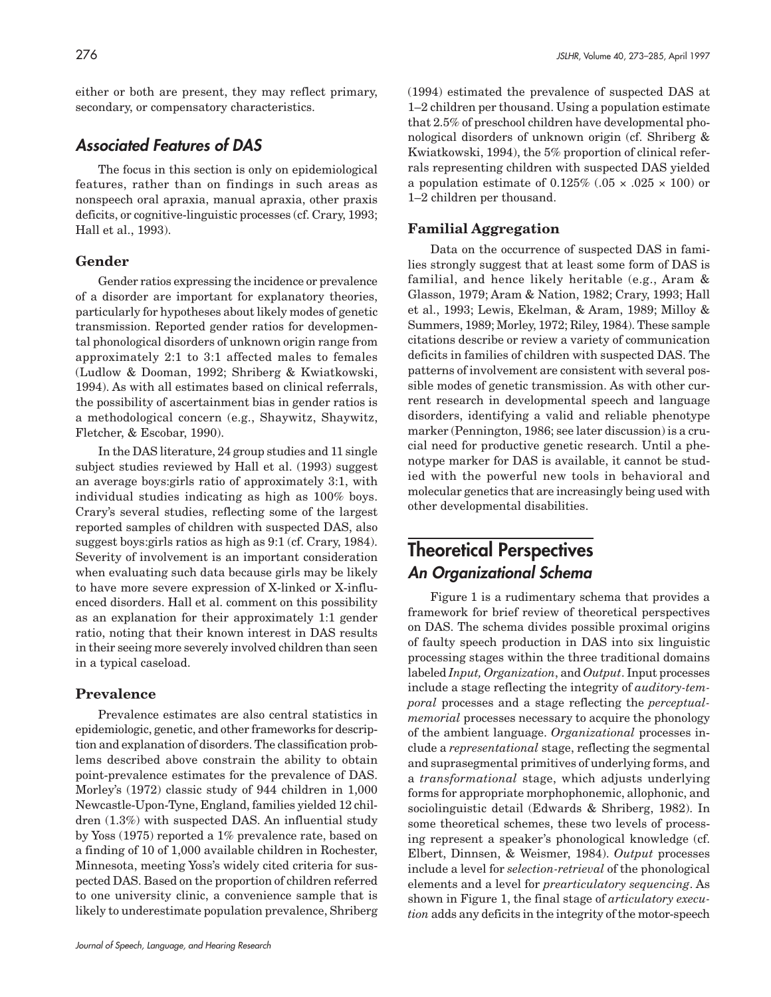either or both are present, they may reflect primary, secondary, or compensatory characteristics.

### **Associated Features of DAS**

The focus in this section is only on epidemiological features, rather than on findings in such areas as nonspeech oral apraxia, manual apraxia, other praxis deficits, or cognitive-linguistic processes (cf. Crary, 1993; Hall et al., 1993).

#### **Gender**

Gender ratios expressing the incidence or prevalence of a disorder are important for explanatory theories, particularly for hypotheses about likely modes of genetic transmission. Reported gender ratios for developmental phonological disorders of unknown origin range from approximately 2:1 to 3:1 affected males to females (Ludlow & Dooman, 1992; Shriberg & Kwiatkowski, 1994). As with all estimates based on clinical referrals, the possibility of ascertainment bias in gender ratios is a methodological concern (e.g., Shaywitz, Shaywitz, Fletcher, & Escobar, 1990).

In the DAS literature, 24 group studies and 11 single subject studies reviewed by Hall et al. (1993) suggest an average boys:girls ratio of approximately 3:1, with individual studies indicating as high as 100% boys. Crary's several studies, reflecting some of the largest reported samples of children with suspected DAS, also suggest boys:girls ratios as high as 9:1 (cf. Crary, 1984). Severity of involvement is an important consideration when evaluating such data because girls may be likely to have more severe expression of X-linked or X-influenced disorders. Hall et al. comment on this possibility as an explanation for their approximately 1:1 gender ratio, noting that their known interest in DAS results in their seeing more severely involved children than seen in a typical caseload.

#### **Prevalence**

Prevalence estimates are also central statistics in epidemiologic, genetic, and other frameworks for description and explanation of disorders. The classification problems described above constrain the ability to obtain point-prevalence estimates for the prevalence of DAS. Morley's (1972) classic study of 944 children in 1,000 Newcastle-Upon-Tyne, England, families yielded 12 children (1.3%) with suspected DAS. An influential study by Yoss (1975) reported a 1% prevalence rate, based on a finding of 10 of 1,000 available children in Rochester, Minnesota, meeting Yoss's widely cited criteria for suspected DAS. Based on the proportion of children referred to one university clinic, a convenience sample that is likely to underestimate population prevalence, Shriberg (1994) estimated the prevalence of suspected DAS at 1–2 children per thousand. Using a population estimate that 2.5% of preschool children have developmental phonological disorders of unknown origin (cf. Shriberg & Kwiatkowski, 1994), the 5% proportion of clinical referrals representing children with suspected DAS yielded a population estimate of  $0.125\%$  (.05  $\times$  .025  $\times$  100) or 1–2 children per thousand.

#### **Familial Aggregation**

Data on the occurrence of suspected DAS in families strongly suggest that at least some form of DAS is familial, and hence likely heritable (e.g., Aram & Glasson, 1979; Aram & Nation, 1982; Crary, 1993; Hall et al., 1993; Lewis, Ekelman, & Aram, 1989; Milloy & Summers, 1989; Morley, 1972; Riley, 1984). These sample citations describe or review a variety of communication deficits in families of children with suspected DAS. The patterns of involvement are consistent with several possible modes of genetic transmission. As with other current research in developmental speech and language disorders, identifying a valid and reliable phenotype marker (Pennington, 1986; see later discussion) is a crucial need for productive genetic research. Until a phenotype marker for DAS is available, it cannot be studied with the powerful new tools in behavioral and molecular genetics that are increasingly being used with other developmental disabilities.

# **Theoretical Perspectives An Organizational Schema**

Figure 1 is a rudimentary schema that provides a framework for brief review of theoretical perspectives on DAS. The schema divides possible proximal origins of faulty speech production in DAS into six linguistic processing stages within the three traditional domains labeled *Input, Organization*, and *Output*. Input processes include a stage reflecting the integrity of *auditory-temporal* processes and a stage reflecting the *perceptualmemorial* processes necessary to acquire the phonology of the ambient language. *Organizational* processes include a *representational* stage, reflecting the segmental and suprasegmental primitives of underlying forms, and a *transformational* stage, which adjusts underlying forms for appropriate morphophonemic, allophonic, and sociolinguistic detail (Edwards & Shriberg, 1982). In some theoretical schemes, these two levels of processing represent a speaker's phonological knowledge (cf. Elbert, Dinnsen, & Weismer, 1984). *Output* processes include a level for *selection-retrieval* of the phonological elements and a level for *prearticulatory sequencing*. As shown in Figure 1, the final stage of *articulatory execution* adds any deficits in the integrity of the motor-speech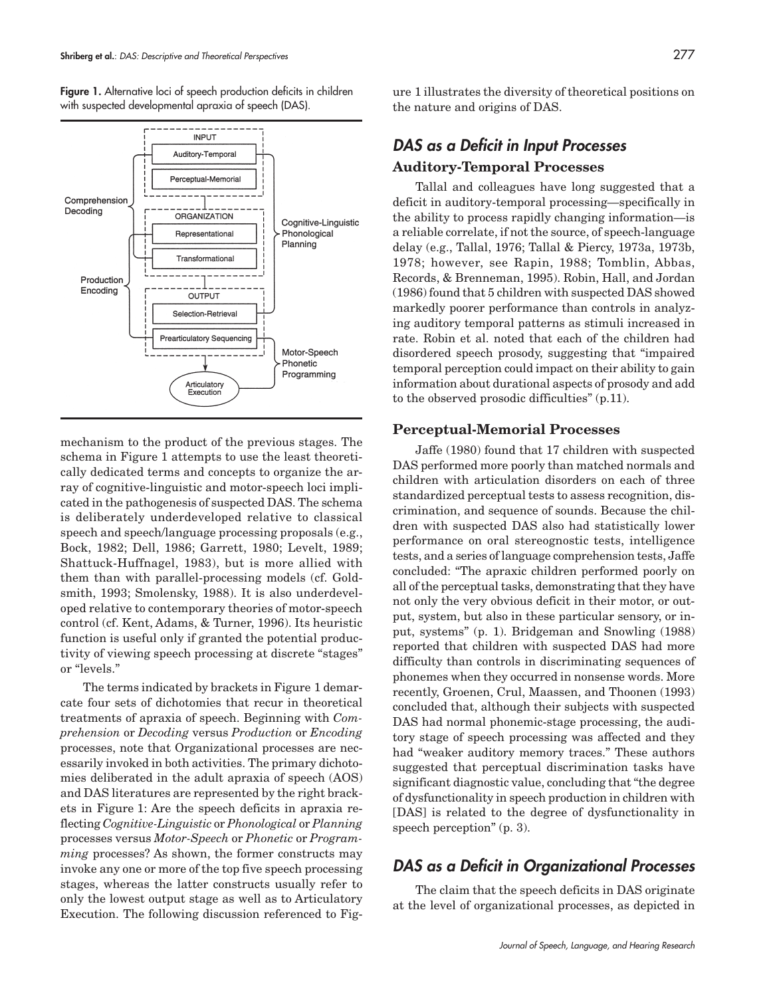Figure 1. Alternative loci of speech production deficits in children with suspected developmental apraxia of speech (DAS).



mechanism to the product of the previous stages. The schema in Figure 1 attempts to use the least theoretically dedicated terms and concepts to organize the array of cognitive-linguistic and motor-speech loci implicated in the pathogenesis of suspected DAS. The schema is deliberately underdeveloped relative to classical speech and speech/language processing proposals (e.g., Bock, 1982; Dell, 1986; Garrett, 1980; Levelt, 1989; Shattuck-Huffnagel, 1983), but is more allied with them than with parallel-processing models (cf. Goldsmith, 1993; Smolensky, 1988). It is also underdeveloped relative to contemporary theories of motor-speech control (cf. Kent, Adams, & Turner, 1996). Its heuristic function is useful only if granted the potential productivity of viewing speech processing at discrete "stages" or "levels."

The terms indicated by brackets in Figure 1 demarcate four sets of dichotomies that recur in theoretical treatments of apraxia of speech. Beginning with *Comprehension* or *Decoding* versus *Production* or *Encoding* processes, note that Organizational processes are necessarily invoked in both activities. The primary dichotomies deliberated in the adult apraxia of speech (AOS) and DAS literatures are represented by the right brackets in Figure 1: Are the speech deficits in apraxia reflecting *Cognitive-Linguistic* or *Phonological* or *Planning* processes versus *Motor-Speech* or *Phonetic* or *Programming* processes? As shown, the former constructs may invoke any one or more of the top five speech processing stages, whereas the latter constructs usually refer to only the lowest output stage as well as to Articulatory Execution. The following discussion referenced to Figure 1 illustrates the diversity of theoretical positions on the nature and origins of DAS.

# **DAS as a Deficit in Input Processes Auditory-Temporal Processes**

Tallal and colleagues have long suggested that a deficit in auditory-temporal processing—specifically in the ability to process rapidly changing information—is a reliable correlate, if not the source, of speech-language delay (e.g., Tallal, 1976; Tallal & Piercy, 1973a, 1973b, 1978; however, see Rapin, 1988; Tomblin, Abbas, Records, & Brenneman, 1995). Robin, Hall, and Jordan (1986) found that 5 children with suspected DAS showed markedly poorer performance than controls in analyzing auditory temporal patterns as stimuli increased in rate. Robin et al. noted that each of the children had disordered speech prosody, suggesting that "impaired temporal perception could impact on their ability to gain information about durational aspects of prosody and add to the observed prosodic difficulties" (p.11).

#### **Perceptual-Memorial Processes**

Jaffe (1980) found that 17 children with suspected DAS performed more poorly than matched normals and children with articulation disorders on each of three standardized perceptual tests to assess recognition, discrimination, and sequence of sounds. Because the children with suspected DAS also had statistically lower performance on oral stereognostic tests, intelligence tests, and a series of language comprehension tests, Jaffe concluded: "The apraxic children performed poorly on all of the perceptual tasks, demonstrating that they have not only the very obvious deficit in their motor, or output, system, but also in these particular sensory, or input, systems" (p. 1). Bridgeman and Snowling (1988) reported that children with suspected DAS had more difficulty than controls in discriminating sequences of phonemes when they occurred in nonsense words. More recently, Groenen, Crul, Maassen, and Thoonen (1993) concluded that, although their subjects with suspected DAS had normal phonemic-stage processing, the auditory stage of speech processing was affected and they had "weaker auditory memory traces." These authors suggested that perceptual discrimination tasks have significant diagnostic value, concluding that "the degree of dysfunctionality in speech production in children with [DAS] is related to the degree of dysfunctionality in speech perception" (p. 3).

### **DAS as a Deficit in Organizational Processes**

The claim that the speech deficits in DAS originate at the level of organizational processes, as depicted in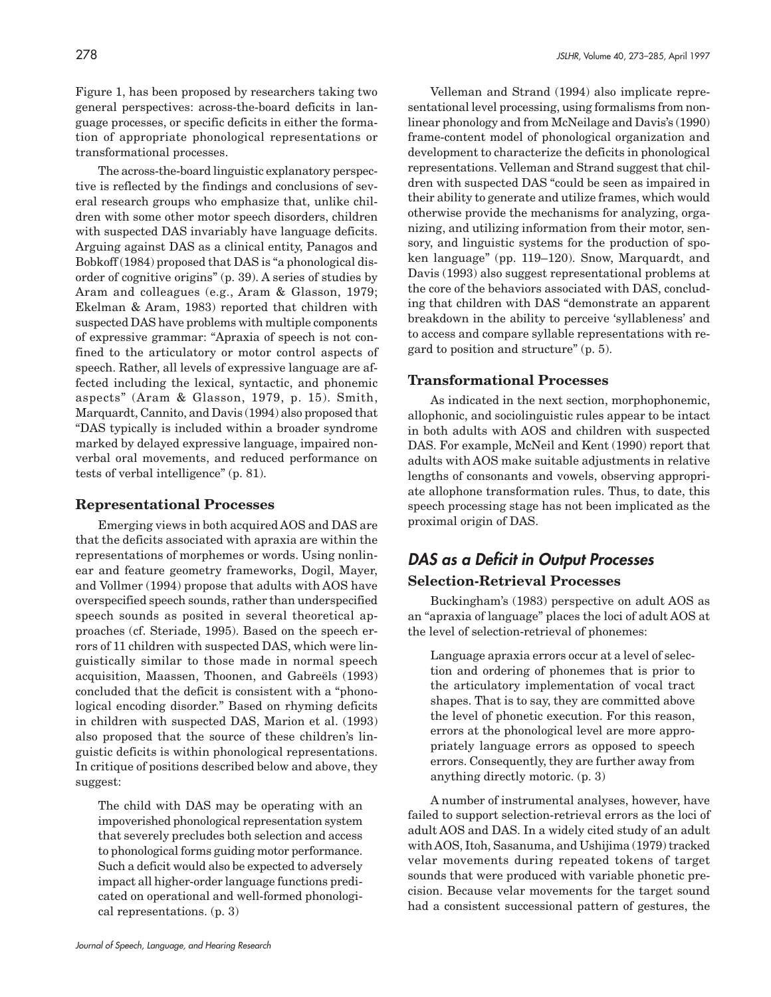Figure 1, has been proposed by researchers taking two general perspectives: across-the-board deficits in language processes, or specific deficits in either the formation of appropriate phonological representations or transformational processes.

The across-the-board linguistic explanatory perspective is reflected by the findings and conclusions of several research groups who emphasize that, unlike children with some other motor speech disorders, children with suspected DAS invariably have language deficits. Arguing against DAS as a clinical entity, Panagos and Bobkoff (1984) proposed that DAS is "a phonological disorder of cognitive origins" (p. 39). A series of studies by Aram and colleagues (e.g., Aram & Glasson, 1979; Ekelman & Aram, 1983) reported that children with suspected DAS have problems with multiple components of expressive grammar: "Apraxia of speech is not confined to the articulatory or motor control aspects of speech. Rather, all levels of expressive language are affected including the lexical, syntactic, and phonemic aspects" (Aram & Glasson, 1979, p. 15). Smith, Marquardt, Cannito, and Davis (1994) also proposed that "DAS typically is included within a broader syndrome marked by delayed expressive language, impaired nonverbal oral movements, and reduced performance on tests of verbal intelligence" (p. 81).

#### **Representational Processes**

Emerging views in both acquired AOS and DAS are that the deficits associated with apraxia are within the representations of morphemes or words. Using nonlinear and feature geometry frameworks, Dogil, Mayer, and Vollmer (1994) propose that adults with AOS have overspecified speech sounds, rather than underspecified speech sounds as posited in several theoretical approaches (cf. Steriade, 1995). Based on the speech errors of 11 children with suspected DAS, which were linguistically similar to those made in normal speech acquisition, Maassen, Thoonen, and Gabreëls (1993) concluded that the deficit is consistent with a "phonological encoding disorder." Based on rhyming deficits in children with suspected DAS, Marion et al. (1993) also proposed that the source of these children's linguistic deficits is within phonological representations. In critique of positions described below and above, they suggest:

The child with DAS may be operating with an impoverished phonological representation system that severely precludes both selection and access to phonological forms guiding motor performance. Such a deficit would also be expected to adversely impact all higher-order language functions predicated on operational and well-formed phonological representations. (p. 3)

Velleman and Strand (1994) also implicate representational level processing, using formalisms from nonlinear phonology and from McNeilage and Davis's (1990) frame-content model of phonological organization and development to characterize the deficits in phonological representations. Velleman and Strand suggest that children with suspected DAS "could be seen as impaired in their ability to generate and utilize frames, which would otherwise provide the mechanisms for analyzing, organizing, and utilizing information from their motor, sensory, and linguistic systems for the production of spoken language" (pp. 119–120). Snow, Marquardt, and Davis (1993) also suggest representational problems at the core of the behaviors associated with DAS, concluding that children with DAS "demonstrate an apparent breakdown in the ability to perceive 'syllableness' and to access and compare syllable representations with regard to position and structure" (p. 5).

### **Transformational Processes**

As indicated in the next section, morphophonemic, allophonic, and sociolinguistic rules appear to be intact in both adults with AOS and children with suspected DAS. For example, McNeil and Kent (1990) report that adults with AOS make suitable adjustments in relative lengths of consonants and vowels, observing appropriate allophone transformation rules. Thus, to date, this speech processing stage has not been implicated as the proximal origin of DAS.

## **DAS as a Deficit in Output Processes Selection-Retrieval Processes**

Buckingham's (1983) perspective on adult AOS as an "apraxia of language" places the loci of adult AOS at the level of selection-retrieval of phonemes:

Language apraxia errors occur at a level of selection and ordering of phonemes that is prior to the articulatory implementation of vocal tract shapes. That is to say, they are committed above the level of phonetic execution. For this reason, errors at the phonological level are more appropriately language errors as opposed to speech errors. Consequently, they are further away from anything directly motoric. (p. 3)

A number of instrumental analyses, however, have failed to support selection-retrieval errors as the loci of adult AOS and DAS. In a widely cited study of an adult with AOS, Itoh, Sasanuma, and Ushijima (1979) tracked velar movements during repeated tokens of target sounds that were produced with variable phonetic precision. Because velar movements for the target sound had a consistent successional pattern of gestures, the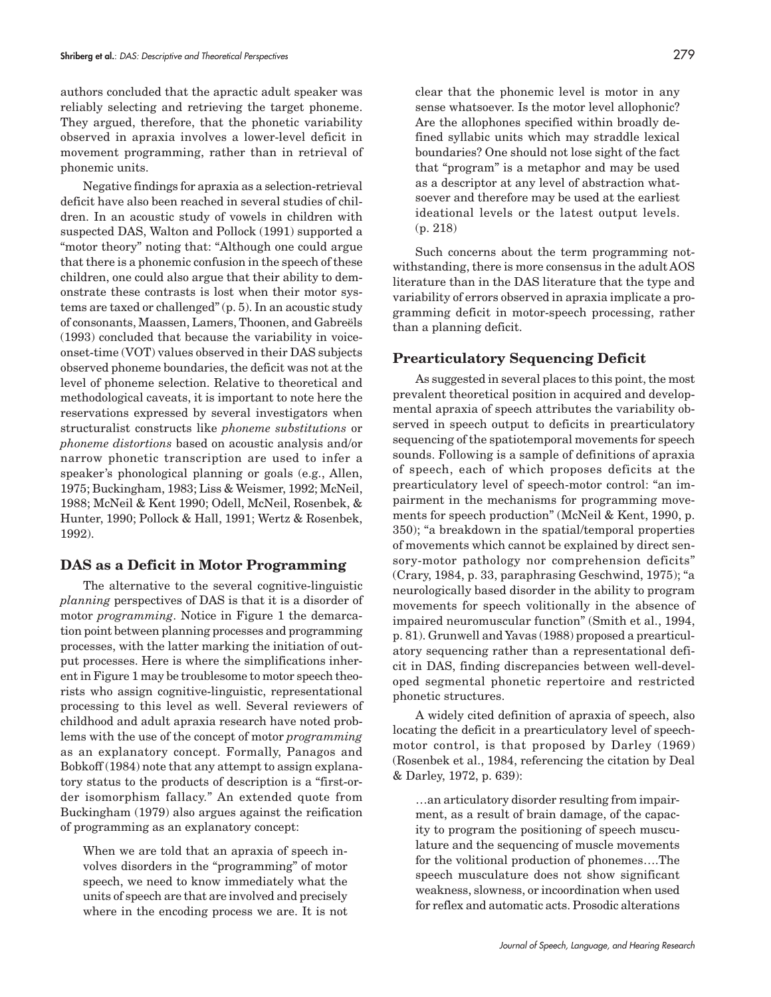authors concluded that the apractic adult speaker was reliably selecting and retrieving the target phoneme. They argued, therefore, that the phonetic variability observed in apraxia involves a lower-level deficit in movement programming, rather than in retrieval of phonemic units.

Negative findings for apraxia as a selection-retrieval deficit have also been reached in several studies of children. In an acoustic study of vowels in children with suspected DAS, Walton and Pollock (1991) supported a "motor theory" noting that: "Although one could argue that there is a phonemic confusion in the speech of these children, one could also argue that their ability to demonstrate these contrasts is lost when their motor systems are taxed or challenged" (p. 5). In an acoustic study of consonants, Maassen, Lamers, Thoonen, and Gabreëls (1993) concluded that because the variability in voiceonset-time (VOT) values observed in their DAS subjects observed phoneme boundaries, the deficit was not at the level of phoneme selection. Relative to theoretical and methodological caveats, it is important to note here the reservations expressed by several investigators when structuralist constructs like *phoneme substitutions* or *phoneme distortions* based on acoustic analysis and/or narrow phonetic transcription are used to infer a speaker's phonological planning or goals (e.g., Allen, 1975; Buckingham, 1983; Liss & Weismer, 1992; McNeil, 1988; McNeil & Kent 1990; Odell, McNeil, Rosenbek, & Hunter, 1990; Pollock & Hall, 1991; Wertz & Rosenbek, 1992).

#### **DAS as a Deficit in Motor Programming**

The alternative to the several cognitive-linguistic *planning* perspectives of DAS is that it is a disorder of motor *programming*. Notice in Figure 1 the demarcation point between planning processes and programming processes, with the latter marking the initiation of output processes. Here is where the simplifications inherent in Figure 1 may be troublesome to motor speech theorists who assign cognitive-linguistic, representational processing to this level as well. Several reviewers of childhood and adult apraxia research have noted problems with the use of the concept of motor *programming* as an explanatory concept. Formally, Panagos and Bobkoff (1984) note that any attempt to assign explanatory status to the products of description is a "first-order isomorphism fallacy." An extended quote from Buckingham (1979) also argues against the reification of programming as an explanatory concept:

When we are told that an apraxia of speech involves disorders in the "programming" of motor speech, we need to know immediately what the units of speech are that are involved and precisely where in the encoding process we are. It is not

clear that the phonemic level is motor in any sense whatsoever. Is the motor level allophonic? Are the allophones specified within broadly defined syllabic units which may straddle lexical boundaries? One should not lose sight of the fact that "program" is a metaphor and may be used as a descriptor at any level of abstraction whatsoever and therefore may be used at the earliest ideational levels or the latest output levels. (p. 218)

Such concerns about the term programming notwithstanding, there is more consensus in the adult AOS literature than in the DAS literature that the type and variability of errors observed in apraxia implicate a programming deficit in motor-speech processing, rather than a planning deficit.

#### **Prearticulatory Sequencing Deficit**

As suggested in several places to this point, the most prevalent theoretical position in acquired and developmental apraxia of speech attributes the variability observed in speech output to deficits in prearticulatory sequencing of the spatiotemporal movements for speech sounds. Following is a sample of definitions of apraxia of speech, each of which proposes deficits at the prearticulatory level of speech-motor control: "an impairment in the mechanisms for programming movements for speech production" (McNeil & Kent, 1990, p. 350); "a breakdown in the spatial/temporal properties of movements which cannot be explained by direct sensory-motor pathology nor comprehension deficits" (Crary, 1984, p. 33, paraphrasing Geschwind, 1975); "a neurologically based disorder in the ability to program movements for speech volitionally in the absence of impaired neuromuscular function" (Smith et al., 1994, p. 81). Grunwell and Yavas (1988) proposed a prearticulatory sequencing rather than a representational deficit in DAS, finding discrepancies between well-developed segmental phonetic repertoire and restricted phonetic structures.

A widely cited definition of apraxia of speech, also locating the deficit in a prearticulatory level of speechmotor control, is that proposed by Darley (1969) (Rosenbek et al., 1984, referencing the citation by Deal & Darley, 1972, p. 639):

…an articulatory disorder resulting from impairment, as a result of brain damage, of the capacity to program the positioning of speech musculature and the sequencing of muscle movements for the volitional production of phonemes….The speech musculature does not show significant weakness, slowness, or incoordination when used for reflex and automatic acts. Prosodic alterations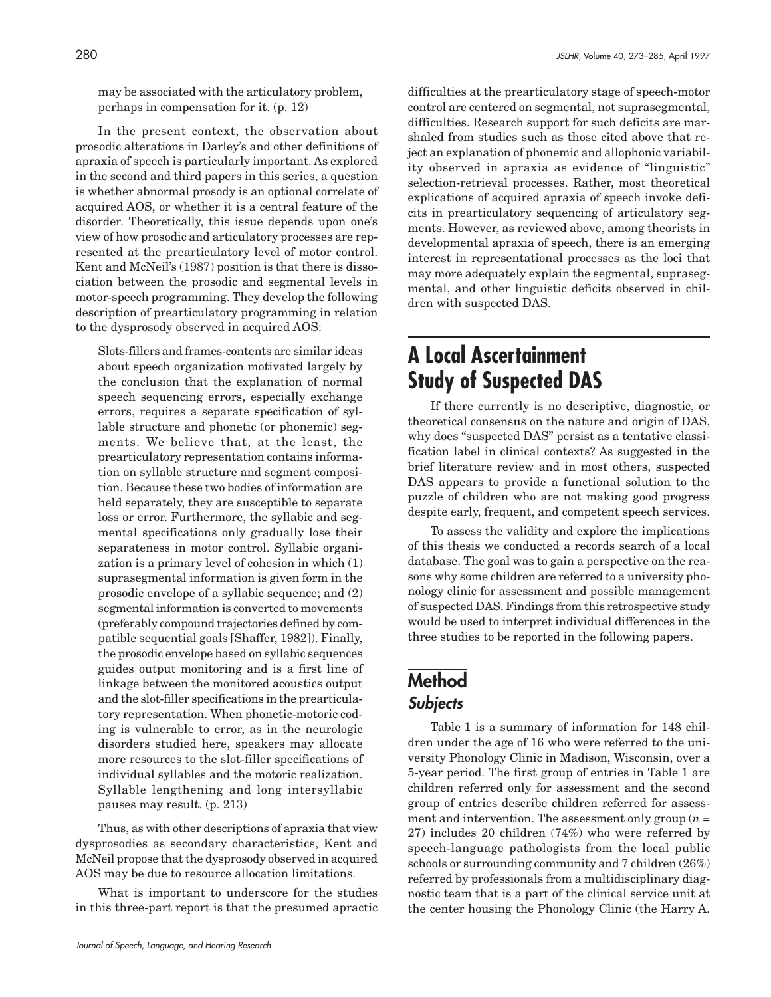may be associated with the articulatory problem, perhaps in compensation for it. (p. 12)

In the present context, the observation about prosodic alterations in Darley's and other definitions of apraxia of speech is particularly important. As explored in the second and third papers in this series, a question is whether abnormal prosody is an optional correlate of acquired AOS, or whether it is a central feature of the disorder. Theoretically, this issue depends upon one's view of how prosodic and articulatory processes are represented at the prearticulatory level of motor control. Kent and McNeil's (1987) position is that there is dissociation between the prosodic and segmental levels in motor-speech programming. They develop the following description of prearticulatory programming in relation to the dysprosody observed in acquired AOS:

Slots-fillers and frames-contents are similar ideas about speech organization motivated largely by the conclusion that the explanation of normal speech sequencing errors, especially exchange errors, requires a separate specification of syllable structure and phonetic (or phonemic) segments. We believe that, at the least, the prearticulatory representation contains information on syllable structure and segment composition. Because these two bodies of information are held separately, they are susceptible to separate loss or error. Furthermore, the syllabic and segmental specifications only gradually lose their separateness in motor control. Syllabic organization is a primary level of cohesion in which (1) suprasegmental information is given form in the prosodic envelope of a syllabic sequence; and (2) segmental information is converted to movements (preferably compound trajectories defined by compatible sequential goals [Shaffer, 1982]). Finally, the prosodic envelope based on syllabic sequences guides output monitoring and is a first line of linkage between the monitored acoustics output and the slot-filler specifications in the prearticulatory representation. When phonetic-motoric coding is vulnerable to error, as in the neurologic disorders studied here, speakers may allocate more resources to the slot-filler specifications of individual syllables and the motoric realization. Syllable lengthening and long intersyllabic pauses may result. (p. 213)

Thus, as with other descriptions of apraxia that view dysprosodies as secondary characteristics, Kent and McNeil propose that the dysprosody observed in acquired AOS may be due to resource allocation limitations.

What is important to underscore for the studies in this three-part report is that the presumed apractic

difficulties at the prearticulatory stage of speech-motor control are centered on segmental, not suprasegmental, difficulties. Research support for such deficits are marshaled from studies such as those cited above that reject an explanation of phonemic and allophonic variability observed in apraxia as evidence of "linguistic" selection-retrieval processes. Rather, most theoretical explications of acquired apraxia of speech invoke deficits in prearticulatory sequencing of articulatory segments. However, as reviewed above, among theorists in developmental apraxia of speech, there is an emerging interest in representational processes as the loci that may more adequately explain the segmental, suprasegmental, and other linguistic deficits observed in children with suspected DAS.

# **A Local Ascertainment Study of Suspected DAS**

If there currently is no descriptive, diagnostic, or theoretical consensus on the nature and origin of DAS, why does "suspected DAS" persist as a tentative classification label in clinical contexts? As suggested in the brief literature review and in most others, suspected DAS appears to provide a functional solution to the puzzle of children who are not making good progress despite early, frequent, and competent speech services.

To assess the validity and explore the implications of this thesis we conducted a records search of a local database. The goal was to gain a perspective on the reasons why some children are referred to a university phonology clinic for assessment and possible management of suspected DAS. Findings from this retrospective study would be used to interpret individual differences in the three studies to be reported in the following papers.

# **Method Subjects**

Table 1 is a summary of information for 148 children under the age of 16 who were referred to the university Phonology Clinic in Madison, Wisconsin, over a 5-year period. The first group of entries in Table 1 are children referred only for assessment and the second group of entries describe children referred for assessment and intervention. The assessment only group  $(n =$ 27) includes 20 children (74%) who were referred by speech-language pathologists from the local public schools or surrounding community and 7 children (26%) referred by professionals from a multidisciplinary diagnostic team that is a part of the clinical service unit at the center housing the Phonology Clinic (the Harry A.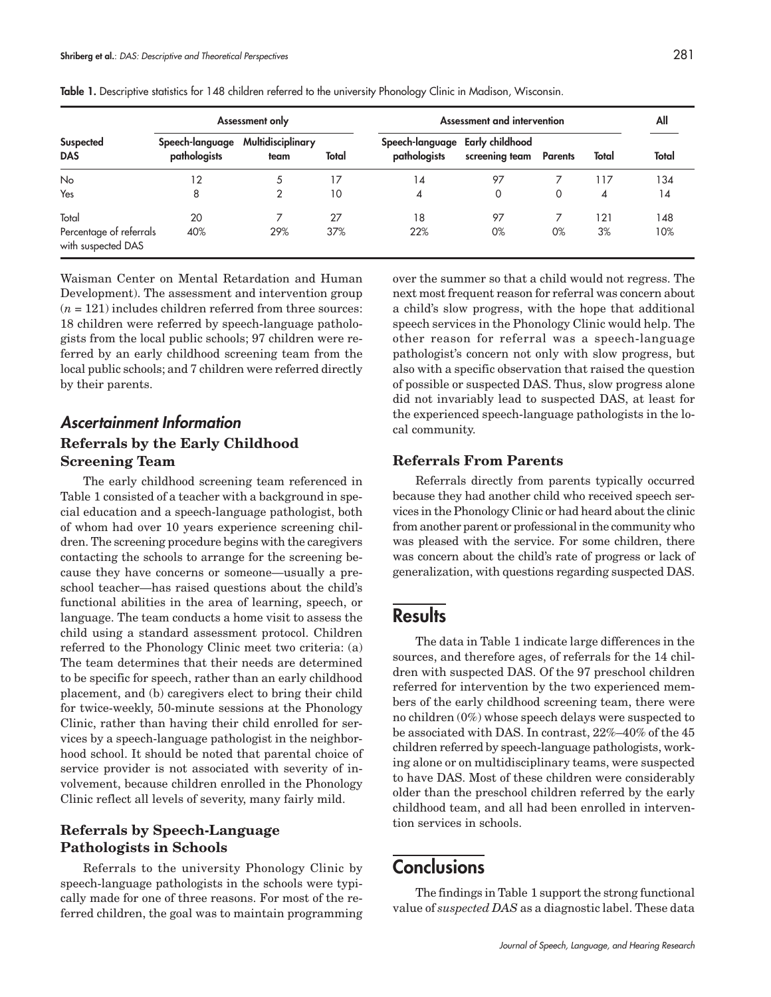| Suspected<br><b>DAS</b>                       | Assessment only                 |                           |       | Assessment and intervention                     |                |                |       | All   |
|-----------------------------------------------|---------------------------------|---------------------------|-------|-------------------------------------------------|----------------|----------------|-------|-------|
|                                               | Speech-language<br>pathologists | Multidisciplinary<br>team | Total | Speech-language Early childhood<br>pathologists | screening team | <b>Parents</b> | Total | Total |
| No                                            | 12                              | 5                         | 17    | 14                                              | 97             |                | 117   | 134   |
| Yes                                           | 8                               |                           | 10    | 4                                               | 0              | 0              | 4     | 14    |
| Total                                         | 20                              |                           | 27    | 18                                              | 97             |                | 121   | 148   |
| Percentage of referrals<br>with suspected DAS | 40%                             | 29%                       | 37%   | 22%                                             | 0%             | 0%             | 3%    | 10%   |

**Table 1.** Descriptive statistics for 148 children referred to the university Phonology Clinic in Madison, Wisconsin.

Waisman Center on Mental Retardation and Human Development). The assessment and intervention group  $(n = 121)$  includes children referred from three sources: 18 children were referred by speech-language pathologists from the local public schools; 97 children were referred by an early childhood screening team from the local public schools; and 7 children were referred directly by their parents.

# **Ascertainment Information Referrals by the Early Childhood**

## **Screening Team**

The early childhood screening team referenced in Table 1 consisted of a teacher with a background in special education and a speech-language pathologist, both of whom had over 10 years experience screening children. The screening procedure begins with the caregivers contacting the schools to arrange for the screening because they have concerns or someone—usually a preschool teacher—has raised questions about the child's functional abilities in the area of learning, speech, or language. The team conducts a home visit to assess the child using a standard assessment protocol. Children referred to the Phonology Clinic meet two criteria: (a) The team determines that their needs are determined to be specific for speech, rather than an early childhood placement, and (b) caregivers elect to bring their child for twice-weekly, 50-minute sessions at the Phonology Clinic, rather than having their child enrolled for services by a speech-language pathologist in the neighborhood school. It should be noted that parental choice of service provider is not associated with severity of involvement, because children enrolled in the Phonology Clinic reflect all levels of severity, many fairly mild.

### **Referrals by Speech-Language Pathologists in Schools**

Referrals to the university Phonology Clinic by speech-language pathologists in the schools were typically made for one of three reasons. For most of the referred children, the goal was to maintain programming over the summer so that a child would not regress. The next most frequent reason for referral was concern about a child's slow progress, with the hope that additional speech services in the Phonology Clinic would help. The other reason for referral was a speech-language pathologist's concern not only with slow progress, but also with a specific observation that raised the question of possible or suspected DAS. Thus, slow progress alone did not invariably lead to suspected DAS, at least for the experienced speech-language pathologists in the local community.

#### **Referrals From Parents**

Referrals directly from parents typically occurred because they had another child who received speech services in the Phonology Clinic or had heard about the clinic from another parent or professional in the community who was pleased with the service. For some children, there was concern about the child's rate of progress or lack of generalization, with questions regarding suspected DAS.

### **Results**

The data in Table 1 indicate large differences in the sources, and therefore ages, of referrals for the 14 children with suspected DAS. Of the 97 preschool children referred for intervention by the two experienced members of the early childhood screening team, there were no children (0%) whose speech delays were suspected to be associated with DAS. In contrast, 22%–40% of the 45 children referred by speech-language pathologists, working alone or on multidisciplinary teams, were suspected to have DAS. Most of these children were considerably older than the preschool children referred by the early childhood team, and all had been enrolled in intervention services in schools.

# **Conclusions**

The findings in Table 1 support the strong functional value of *suspected DAS* as a diagnostic label. These data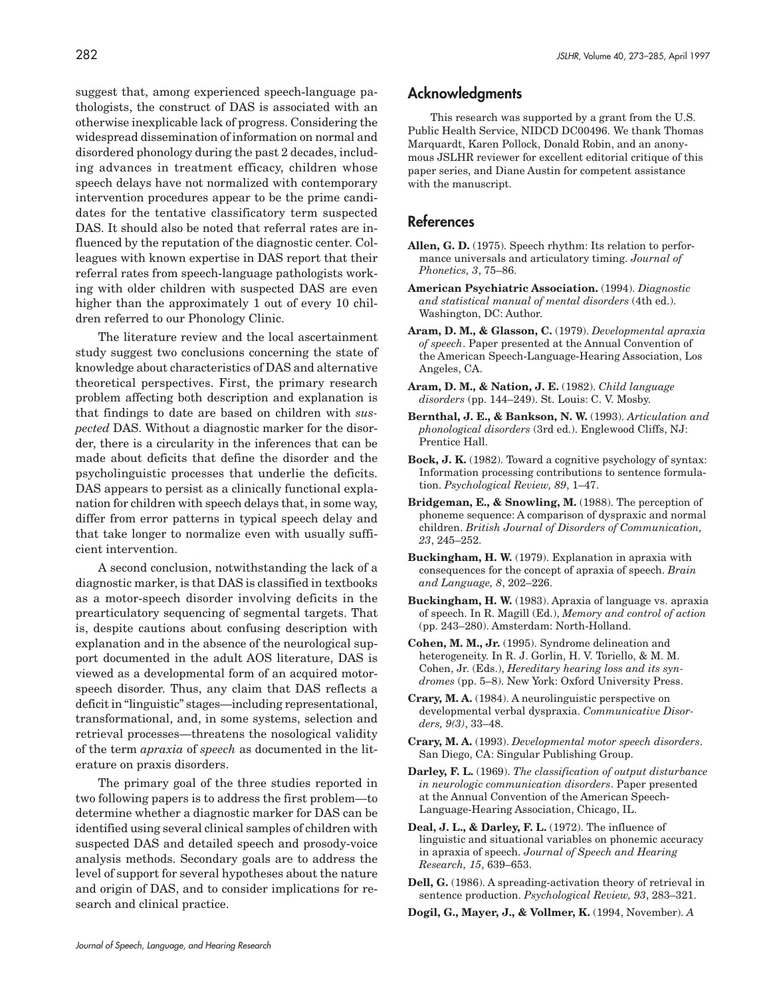suggest that, among experienced speech-language pathologists, the construct of DAS is associated with an otherwise inexplicable lack of progress. Considering the widespread dissemination of information on normal and disordered phonology during the past 2 decades, including advances in treatment efficacy, children whose speech delays have not normalized with contemporary intervention procedures appear to be the prime candidates for the tentative classificatory term suspected DAS. It should also be noted that referral rates are influenced by the reputation of the diagnostic center. Colleagues with known expertise in DAS report that their referral rates from speech-language pathologists working with older children with suspected DAS are even higher than the approximately 1 out of every 10 children referred to our Phonology Clinic.

The literature review and the local ascertainment study suggest two conclusions concerning the state of knowledge about characteristics of DAS and alternative theoretical perspectives. First, the primary research problem affecting both description and explanation is that findings to date are based on children with *suspected* DAS. Without a diagnostic marker for the disorder, there is a circularity in the inferences that can be made about deficits that define the disorder and the psycholinguistic processes that underlie the deficits. DAS appears to persist as a clinically functional explanation for children with speech delays that, in some way, differ from error patterns in typical speech delay and that take longer to normalize even with usually sufficient intervention.

A second conclusion, notwithstanding the lack of a diagnostic marker, is that DAS is classified in textbooks as a motor-speech disorder involving deficits in the prearticulatory sequencing of segmental targets. That is, despite cautions about confusing description with explanation and in the absence of the neurological support documented in the adult AOS literature, DAS is viewed as a developmental form of an acquired motorspeech disorder. Thus, any claim that DAS reflects a deficit in "linguistic" stages—including representational, transformational, and, in some systems, selection and retrieval processes—threatens the nosological validity of the term *apraxia* of *speech* as documented in the literature on praxis disorders.

The primary goal of the three studies reported in two following papers is to address the first problem—to determine whether a diagnostic marker for DAS can be identified using several clinical samples of children with suspected DAS and detailed speech and prosody-voice analysis methods. Secondary goals are to address the level of support for several hypotheses about the nature and origin of DAS, and to consider implications for research and clinical practice.

#### **Acknowledgments**

This research was supported by a grant from the U.S. Public Health Service, NIDCD DC00496. We thank Thomas Marquardt, Karen Pollock, Donald Robin, and an anonymous JSLHR reviewer for excellent editorial critique of this paper series, and Diane Austin for competent assistance with the manuscript.

#### **References**

- **Allen, G. D.** (1975). Speech rhythm: Its relation to performance universals and articulatory timing. *Journal of Phonetics, 3*, 75–86.
- **American Psychiatric Association.** (1994). *Diagnostic and statistical manual of mental disorders* (4th ed.). Washington, DC: Author.
- **Aram, D. M., & Glasson, C.** (1979). *Developmental apraxia of speech*. Paper presented at the Annual Convention of the American Speech-Language-Hearing Association, Los Angeles, CA.
- **Aram, D. M., & Nation, J. E.** (1982). *Child language disorders* (pp. 144–249). St. Louis: C. V. Mosby.
- **Bernthal, J. E., & Bankson, N. W.** (1993). *Articulation and phonological disorders* (3rd ed.). Englewood Cliffs, NJ: Prentice Hall.
- **Bock, J. K.** (1982). Toward a cognitive psychology of syntax: Information processing contributions to sentence formulation. *Psychological Review, 89*, 1–47.
- **Bridgeman, E., & Snowling, M.** (1988). The perception of phoneme sequence: A comparison of dyspraxic and normal children. *British Journal of Disorders of Communication, 23*, 245–252.
- **Buckingham, H. W.** (1979). Explanation in apraxia with consequences for the concept of apraxia of speech. *Brain and Language, 8*, 202–226.
- **Buckingham, H. W.** (1983). Apraxia of language vs. apraxia of speech. In R. Magill (Ed.), *Memory and control of action* (pp. 243–280). Amsterdam: North-Holland.
- **Cohen, M. M., Jr.** (1995). Syndrome delineation and heterogeneity. In R. J. Gorlin, H. V. Toriello, & M. M. Cohen, Jr. (Eds.), *Hereditary hearing loss and its syndromes* (pp. 5–8). New York: Oxford University Press.
- **Crary, M. A.** (1984). A neurolinguistic perspective on developmental verbal dyspraxia. *Communicative Disorders, 9(3)*, 33–48.
- **Crary, M. A.** (1993). *Developmental motor speech disorders*. San Diego, CA: Singular Publishing Group.
- **Darley, F. L.** (1969). *The classification of output disturbance in neurologic communication disorders*. Paper presented at the Annual Convention of the American Speech-Language-Hearing Association, Chicago, IL.
- **Deal, J. L., & Darley, F. L.** (1972). The influence of linguistic and situational variables on phonemic accuracy in apraxia of speech. *Journal of Speech and Hearing Research, 15*, 639–653.
- **Dell, G.** (1986). A spreading-activation theory of retrieval in sentence production. *Psychological Review, 93*, 283–321.
- **Dogil, G., Mayer, J., & Vollmer, K.** (1994, November). *A*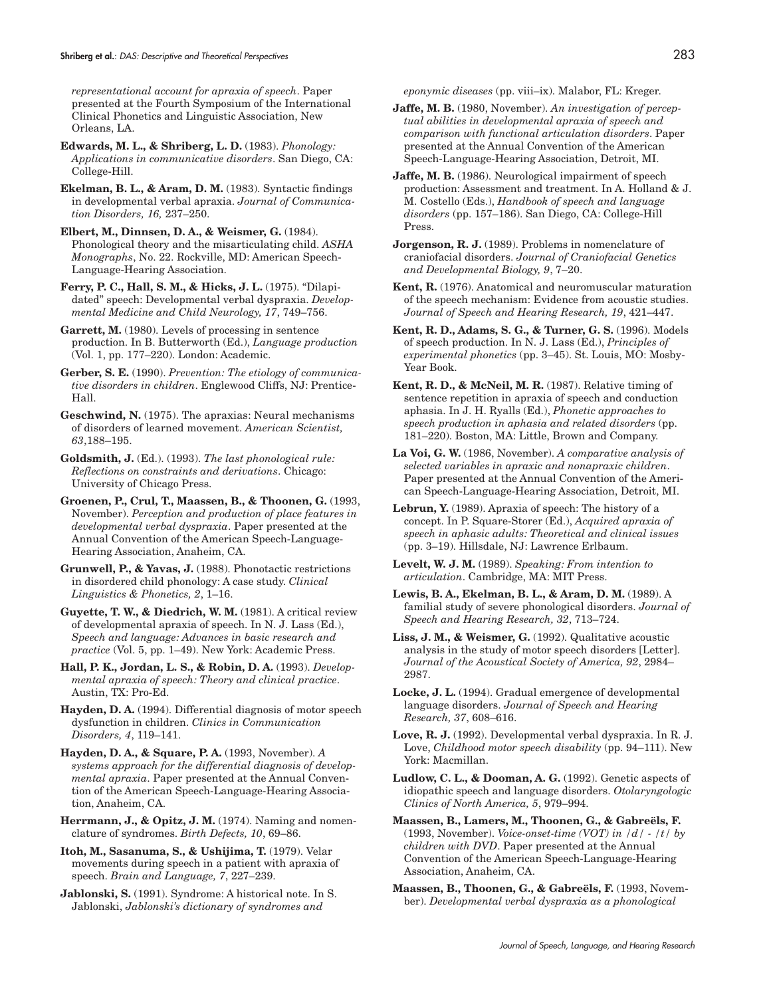*representational account for apraxia of speech*. Paper presented at the Fourth Symposium of the International Clinical Phonetics and Linguistic Association, New Orleans, LA.

**Edwards, M. L., & Shriberg, L. D.** (1983). *Phonology: Applications in communicative disorders*. San Diego, CA: College-Hill.

**Ekelman, B. L., & Aram, D. M.** (1983). Syntactic findings in developmental verbal apraxia. *Journal of Communication Disorders, 16,* 237–250.

**Elbert, M., Dinnsen, D. A., & Weismer, G.** (1984). Phonological theory and the misarticulating child. *ASHA Monographs*, No. 22. Rockville, MD: American Speech-Language-Hearing Association.

**Ferry, P. C., Hall, S. M., & Hicks, J. L.** (1975). "Dilapidated" speech: Developmental verbal dyspraxia. *Developmental Medicine and Child Neurology, 17*, 749–756.

Garrett, M. (1980). Levels of processing in sentence production. In B. Butterworth (Ed.), *Language production* (Vol. 1, pp. 177–220). London: Academic.

**Gerber, S. E.** (1990). *Prevention: The etiology of communicative disorders in children*. Englewood Cliffs, NJ: Prentice-Hall.

**Geschwind, N.** (1975). The apraxias: Neural mechanisms of disorders of learned movement. *American Scientist, 63*,188–195.

**Goldsmith, J.** (Ed.). (1993). *The last phonological rule: Reflections on constraints and derivations*. Chicago: University of Chicago Press.

**Groenen, P., Crul, T., Maassen, B., & Thoonen, G.** (1993, November). *Perception and production of place features in developmental verbal dyspraxia*. Paper presented at the Annual Convention of the American Speech-Language-Hearing Association, Anaheim, CA.

**Grunwell, P., & Yavas, J.** (1988). Phonotactic restrictions in disordered child phonology: A case study. *Clinical Linguistics & Phonetics, 2*, 1–16.

**Guyette, T. W., & Diedrich, W. M.** (1981). A critical review of developmental apraxia of speech. In N. J. Lass (Ed.), *Speech and language: Advances in basic research and practice* (Vol. 5, pp. 1–49). New York: Academic Press.

**Hall, P. K., Jordan, L. S., & Robin, D. A.** (1993). *Developmental apraxia of speech: Theory and clinical practice*. Austin, TX: Pro-Ed.

**Hayden, D. A.** (1994). Differential diagnosis of motor speech dysfunction in children. *Clinics in Communication Disorders, 4*, 119–141.

**Hayden, D. A., & Square, P. A.** (1993, November). *A systems approach for the differential diagnosis of developmental apraxia*. Paper presented at the Annual Convention of the American Speech-Language-Hearing Association, Anaheim, CA.

**Herrmann, J., & Opitz, J. M.** (1974). Naming and nomenclature of syndromes. *Birth Defects, 10*, 69–86.

**Itoh, M., Sasanuma, S., & Ushijima, T.** (1979). Velar movements during speech in a patient with apraxia of speech. *Brain and Language, 7*, 227–239.

**Jablonski, S.** (1991). Syndrome: A historical note. In S. Jablonski, *Jablonski's dictionary of syndromes and*

*eponymic diseases* (pp. viii–ix). Malabor, FL: Kreger.

**Jaffe, M. B.** (1980, November). *An investigation of perceptual abilities in developmental apraxia of speech and comparison with functional articulation disorders*. Paper presented at the Annual Convention of the American Speech-Language-Hearing Association, Detroit, MI.

**Jaffe, M. B.** (1986). Neurological impairment of speech production: Assessment and treatment. In A. Holland & J. M. Costello (Eds.), *Handbook of speech and language disorders* (pp. 157–186). San Diego, CA: College-Hill Press.

**Jorgenson, R. J.** (1989). Problems in nomenclature of craniofacial disorders. *Journal of Craniofacial Genetics and Developmental Biology, 9*, 7–20.

**Kent, R.** (1976). Anatomical and neuromuscular maturation of the speech mechanism: Evidence from acoustic studies. *Journal of Speech and Hearing Research, 19*, 421–447.

**Kent, R. D., Adams, S. G., & Turner, G. S.** (1996). Models of speech production. In N. J. Lass (Ed.), *Principles of experimental phonetics* (pp. 3–45). St. Louis, MO: Mosby-Year Book.

**Kent, R. D., & McNeil, M. R.** (1987). Relative timing of sentence repetition in apraxia of speech and conduction aphasia. In J. H. Ryalls (Ed.), *Phonetic approaches to speech production in aphasia and related disorders* (pp. 181–220). Boston, MA: Little, Brown and Company.

**La Voi, G. W.** (1986, November). *A comparative analysis of selected variables in apraxic and nonapraxic children*. Paper presented at the Annual Convention of the American Speech-Language-Hearing Association, Detroit, MI.

**Lebrun, Y.** (1989). Apraxia of speech: The history of a concept. In P. Square-Storer (Ed.), *Acquired apraxia of speech in aphasic adults: Theoretical and clinical issues* (pp. 3–19). Hillsdale, NJ: Lawrence Erlbaum.

**Levelt, W. J. M.** (1989). *Speaking: From intention to articulation*. Cambridge, MA: MIT Press.

**Lewis, B. A., Ekelman, B. L., & Aram, D. M.** (1989). A familial study of severe phonological disorders. *Journal of Speech and Hearing Research, 32*, 713–724.

**Liss, J. M., & Weismer, G.** (1992). Qualitative acoustic analysis in the study of motor speech disorders [Letter]. *Journal of the Acoustical Society of America, 92*, 2984– 2987.

**Locke, J. L.** (1994). Gradual emergence of developmental language disorders. *Journal of Speech and Hearing Research, 37*, 608–616.

**Love, R. J.** (1992). Developmental verbal dyspraxia. In R. J. Love, *Childhood motor speech disability* (pp. 94–111). New York: Macmillan.

**Ludlow, C. L., & Dooman, A. G.** (1992). Genetic aspects of idiopathic speech and language disorders. *Otolaryngologic Clinics of North America, 5*, 979–994.

**Maassen, B., Lamers, M., Thoonen, G., & Gabreëls, F.** (1993, November). *Voice-onset-time (VOT) in /d/ - /t/ by children with DVD*. Paper presented at the Annual Convention of the American Speech-Language-Hearing Association, Anaheim, CA.

**Maassen, B., Thoonen, G., & Gabreëls, F.** (1993, November). *Developmental verbal dyspraxia as a phonological*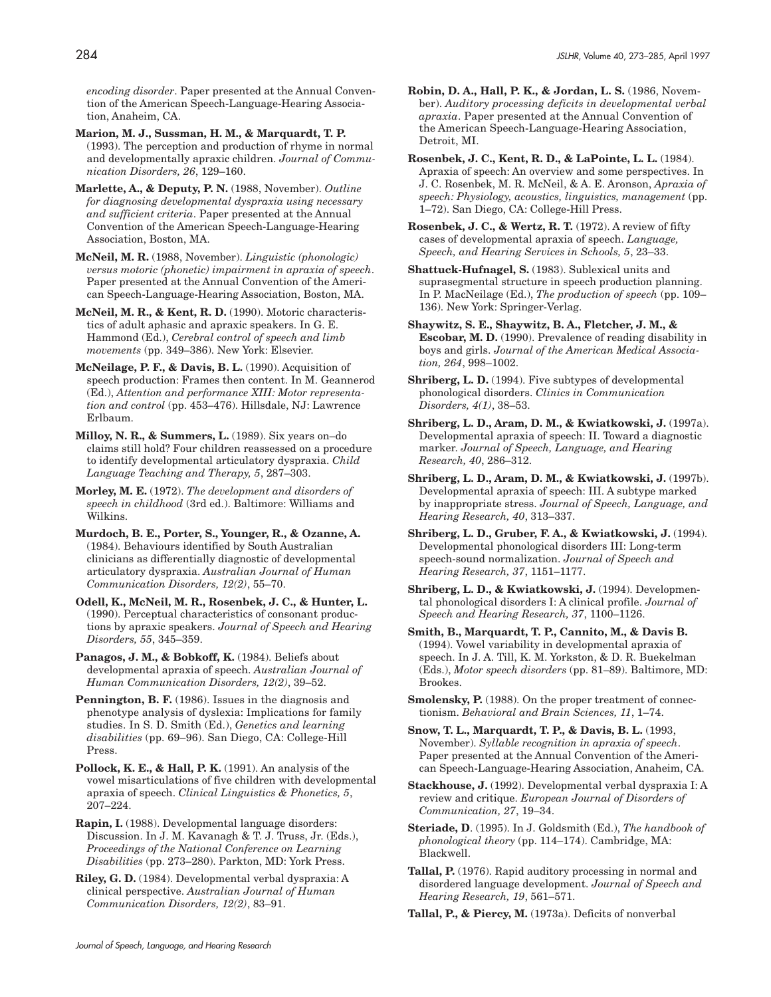*encoding disorder*. Paper presented at the Annual Convention of the American Speech-Language-Hearing Association, Anaheim, CA.

- **Marion, M. J., Sussman, H. M., & Marquardt, T. P.** (1993). The perception and production of rhyme in normal and developmentally apraxic children. *Journal of Communication Disorders, 26*, 129–160.
- **Marlette, A., & Deputy, P. N.** (1988, November). *Outline for diagnosing developmental dyspraxia using necessary and sufficient criteria*. Paper presented at the Annual Convention of the American Speech-Language-Hearing Association, Boston, MA.

**McNeil, M. R.** (1988, November). *Linguistic (phonologic) versus motoric (phonetic) impairment in apraxia of speech*. Paper presented at the Annual Convention of the American Speech-Language-Hearing Association, Boston, MA.

**McNeil, M. R., & Kent, R. D.** (1990). Motoric characteristics of adult aphasic and apraxic speakers. In G. E. Hammond (Ed.), *Cerebral control of speech and limb movements* (pp. 349–386). New York: Elsevier.

- **McNeilage, P. F., & Davis, B. L.** (1990). Acquisition of speech production: Frames then content. In M. Geannerod (Ed.), *Attention and performance XIII: Motor representation and control* (pp. 453–476). Hillsdale, NJ: Lawrence Erlbaum.
- **Milloy, N. R., & Summers, L.** (1989). Six years on–do claims still hold? Four children reassessed on a procedure to identify developmental articulatory dyspraxia. *Child Language Teaching and Therapy, 5*, 287–303.

**Morley, M. E.** (1972). *The development and disorders of speech in childhood* (3rd ed.). Baltimore: Williams and Wilkins.

- **Murdoch, B. E., Porter, S., Younger, R., & Ozanne, A.** (1984). Behaviours identified by South Australian clinicians as differentially diagnostic of developmental articulatory dyspraxia. *Australian Journal of Human Communication Disorders, 12(2)*, 55–70.
- **Odell, K., McNeil, M. R., Rosenbek, J. C., & Hunter, L.** (1990). Perceptual characteristics of consonant productions by apraxic speakers. *Journal of Speech and Hearing Disorders, 55*, 345–359.

Panagos, J. M., & Bobkoff, K. (1984). Beliefs about developmental apraxia of speech. *Australian Journal of Human Communication Disorders, 12(2)*, 39–52.

**Pennington, B. F.** (1986). Issues in the diagnosis and phenotype analysis of dyslexia: Implications for family studies. In S. D. Smith (Ed.), *Genetics and learning disabilities* (pp. 69–96). San Diego, CA: College-Hill Press.

**Pollock, K. E., & Hall, P. K.** (1991). An analysis of the vowel misarticulations of five children with developmental apraxia of speech. *Clinical Linguistics & Phonetics, 5*, 207–224.

**Rapin, I.** (1988). Developmental language disorders: Discussion. In J. M. Kavanagh & T. J. Truss, Jr. (Eds.), *Proceedings of the National Conference on Learning Disabilities* (pp. 273–280). Parkton, MD: York Press.

**Riley, G. D.** (1984). Developmental verbal dyspraxia: A clinical perspective. *Australian Journal of Human Communication Disorders, 12(2)*, 83–91.

- **Robin, D. A., Hall, P. K., & Jordan, L. S.** (1986, November). *Auditory processing deficits in developmental verbal apraxia*. Paper presented at the Annual Convention of the American Speech-Language-Hearing Association, Detroit, MI.
- **Rosenbek, J. C., Kent, R. D., & LaPointe, L. L.** (1984). Apraxia of speech: An overview and some perspectives. In J. C. Rosenbek, M. R. McNeil, & A. E. Aronson, *Apraxia of speech: Physiology, acoustics, linguistics, management* (pp. 1–72). San Diego, CA: College-Hill Press.

**Rosenbek, J. C., & Wertz, R. T.** (1972). A review of fifty cases of developmental apraxia of speech. *Language, Speech, and Hearing Services in Schools, 5*, 23–33.

**Shattuck-Hufnagel, S.** (1983). Sublexical units and suprasegmental structure in speech production planning. In P. MacNeilage (Ed.), *The production of speech* (pp. 109– 136). New York: Springer-Verlag.

**Shaywitz, S. E., Shaywitz, B. A., Fletcher, J. M., & Escobar, M. D.** (1990). Prevalence of reading disability in boys and girls. *Journal of the American Medical Association, 264*, 998–1002.

**Shriberg, L. D.** (1994). Five subtypes of developmental phonological disorders. *Clinics in Communication Disorders, 4(1)*, 38–53.

**Shriberg, L. D., Aram, D. M., & Kwiatkowski, J.** (1997a). Developmental apraxia of speech: II. Toward a diagnostic marker. *Journal of Speech, Language, and Hearing Research, 40*, 286–312.

**Shriberg, L. D., Aram, D. M., & Kwiatkowski, J.** (1997b). Developmental apraxia of speech: III. A subtype marked by inappropriate stress. *Journal of Speech, Language, and Hearing Research, 40*, 313–337.

**Shriberg, L. D., Gruber, F. A., & Kwiatkowski, J.** (1994). Developmental phonological disorders III: Long-term speech-sound normalization. *Journal of Speech and Hearing Research, 37*, 1151–1177.

**Shriberg, L. D., & Kwiatkowski, J.** (1994). Developmental phonological disorders I: A clinical profile. *Journal of Speech and Hearing Research, 37*, 1100–1126.

**Smith, B., Marquardt, T. P., Cannito, M., & Davis B.** (1994). Vowel variability in developmental apraxia of speech. In J. A. Till, K. M. Yorkston, & D. R. Buekelman (Eds.), *Motor speech disorders* (pp. 81–89). Baltimore, MD: Brookes.

**Smolensky, P.** (1988). On the proper treatment of connectionism. *Behavioral and Brain Sciences, 11*, 1–74.

**Snow, T. L., Marquardt, T. P., & Davis, B. L.** (1993, November). *Syllable recognition in apraxia of speech*. Paper presented at the Annual Convention of the American Speech-Language-Hearing Association, Anaheim, CA.

**Stackhouse, J.** (1992). Developmental verbal dyspraxia I: A review and critique. *European Journal of Disorders of Communication, 27*, 19–34.

**Steriade, D**. (1995). In J. Goldsmith (Ed.), *The handbook of phonological theory* (pp. 114–174). Cambridge, MA: Blackwell.

**Tallal, P.** (1976). Rapid auditory processing in normal and disordered language development. *Journal of Speech and Hearing Research, 19*, 561–571.

**Tallal, P., & Piercy, M.** (1973a). Deficits of nonverbal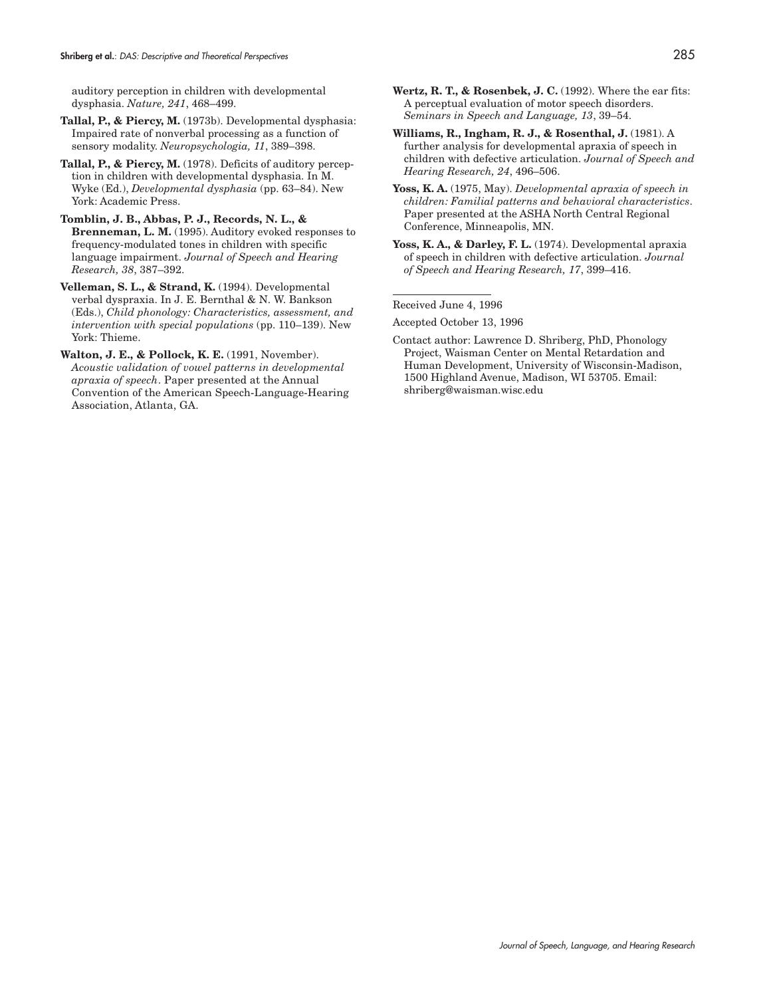auditory perception in children with developmental dysphasia. *Nature, 241*, 468–499.

- **Tallal, P., & Piercy, M.** (1973b). Developmental dysphasia: Impaired rate of nonverbal processing as a function of sensory modality. *Neuropsychologia, 11*, 389–398.
- **Tallal, P., & Piercy, M.** (1978). Deficits of auditory perception in children with developmental dysphasia. In M. Wyke (Ed.), *Developmental dysphasia* (pp. 63–84). New York: Academic Press.
- **Tomblin, J. B., Abbas, P. J., Records, N. L., & Brenneman, L. M.** (1995). Auditory evoked responses to frequency-modulated tones in children with specific language impairment. *Journal of Speech and Hearing Research, 38*, 387–392.
- **Velleman, S. L., & Strand, K.** (1994). Developmental verbal dyspraxia. In J. E. Bernthal & N. W. Bankson (Eds.), *Child phonology: Characteristics, assessment, and intervention with special populations* (pp. 110–139). New York: Thieme.
- **Walton, J. E., & Pollock, K. E.** (1991, November). *Acoustic validation of vowel patterns in developmental apraxia of speech*. Paper presented at the Annual Convention of the American Speech-Language-Hearing Association, Atlanta, GA.
- **Wertz, R. T., & Rosenbek, J. C.** (1992). Where the ear fits: A perceptual evaluation of motor speech disorders. *Seminars in Speech and Language, 13*, 39–54.
- **Williams, R., Ingham, R. J., & Rosenthal, J.** (1981). A further analysis for developmental apraxia of speech in children with defective articulation. *Journal of Speech and Hearing Research, 24*, 496–506.
- **Yoss, K. A.** (1975, May). *Developmental apraxia of speech in children: Familial patterns and behavioral characteristics*. Paper presented at the ASHA North Central Regional Conference, Minneapolis, MN.
- **Yoss, K. A., & Darley, F. L.** (1974). Developmental apraxia of speech in children with defective articulation. *Journal of Speech and Hearing Research, 17*, 399–416.

Received June 4, 1996

Accepted October 13, 1996

Contact author: Lawrence D. Shriberg, PhD, Phonology Project, Waisman Center on Mental Retardation and Human Development, University of Wisconsin-Madison, 1500 Highland Avenue, Madison, WI 53705. Email: shriberg@waisman.wisc.edu